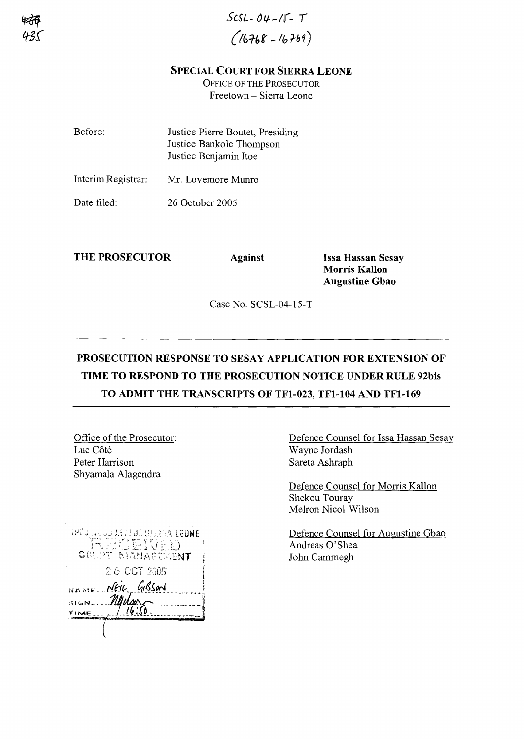*SCSL- OLf-/f- ,*  $(16768 - 16769)$ 

## SPECIAL COURT FOR SIERRA LEONE

OFFICE OF THE PROSECUTOR Freetown - Sierra Leone

| Before:            | Justice Pierre Boutet, Presiding<br>Justice Bankole Thompson<br>Justice Benjamin Itoe |
|--------------------|---------------------------------------------------------------------------------------|
| Interim Registrar: | Mr. Lovemore Munro                                                                    |
| Date filed:        | 26 October 2005                                                                       |

THE PROSECUTOR Against

Issa Hassan Sesay Morris Kallon Augustine Gbao

Case No. SCSL-04-15-T

## PROSECUTION RESPONSE TO SESAY APPLICATION FOR EXTENSION OF TIME TO RESPOND TO THE PROSECUTION NOTICE UNDER RULE 92bis TO ADMIT THE TRANSCRIPTS OF TFI-023, TFI-I04 AND TFl-169

Office of the Prosecutor: Luc Côté Peter Harrison Shyamala Alagendra

| UPSCHAL OUDRY FOR HEARING LEONE |
|---------------------------------|
| [단단] [경제 전문]                    |
| COUPY MANAGEMENT                |
| 26 OCT 2005                     |
| NAME NEW GIBSON                 |
| scmMuhw                         |
| <b>TIME</b>                     |
|                                 |

Defence Counsel for Issa Hassan Sesay Wayne Jordash Sareta Ashraph

Defence Counsel for Morris Kallon Shekou Touray Melron Nicol-Wilson

Defence Counsel for Augustine Gbao Andreas O'Shea John Cammegh